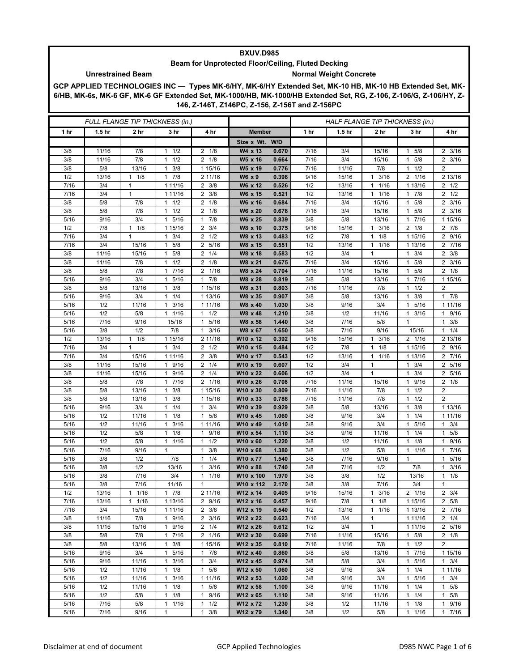## **BXUV.D985**

## **Beam for Unprotected Floor/Ceiling, Fluted Decking** Unrestrained Beam **Normal Weight Concrete**

## **GCP APPLIED TECHNOLOGIES INC — Types MK-6/HY, MK-6/HY Extended Set, MK-10 HB, MK-10 HB Extended Set, MK-6/HB, MK-6s, MK-6 GF, MK-6 GF Extended Set, MK-1000/HB, MK-1000/HB Extended Set, RG, Z-106, Z-106/G, Z-106/HY, Z-146, Z-146T, Z146PC, Z-156, Z-156T and Z-156PC**

|                 | <b>FULL FLANGE TIP THICKNESS (in.)</b> |                     |                                  |                                               |                       |                |              | HALF FLANGE TIP THICKNESS (in.) |                      |                                  |                               |
|-----------------|----------------------------------------|---------------------|----------------------------------|-----------------------------------------------|-----------------------|----------------|--------------|---------------------------------|----------------------|----------------------------------|-------------------------------|
| 1 <sub>hr</sub> | 1.5 <sub>hr</sub>                      | 2 <sub>hr</sub>     | 3 hr                             | 4 hr                                          | <b>Member</b>         |                | 1 hr         | 1.5 <sub>hr</sub>               | 2 hr                 | 3 hr                             | 4 hr                          |
|                 |                                        |                     |                                  |                                               | Size x Wt.            | W/D            |              |                                 |                      |                                  |                               |
| 3/8             | 11/16                                  | 7/8                 | 1/2<br>1                         | $2 \t1/8$                                     | W4 x 13               | 0.670          | 7/16         | 3/4                             | 15/16                | 5/8<br>1                         | $2 \frac{3}{16}$              |
| 3/8             | 11/16                                  | 7/8                 | 1/2<br>1                         | $\overline{2}$<br>1/8                         | W5 x 16               | 0.664          | 7/16         | 3/4                             | 15/16                | 5/8<br>1                         | $2 \frac{3}{16}$              |
| 3/8             | 5/8                                    | 13/16               | 3/8<br>$\mathbf{1}$              | 1 15/16                                       | W5 x 19               | 0.776          | 7/16         | 11/16                           | 7/8                  | 1/2<br>1                         | $\overline{c}$                |
| 1/2             | 13/16                                  | 1/8<br>$\mathbf{1}$ | 7/8<br>1                         | 2 11/16                                       | W6 x 9                | 0.398          | 9/16         | 15/16                           | 3/16<br>1            | $\overline{2}$<br>1/16           | 2 13/16                       |
| 7/16            | 3/4                                    | $\mathbf{1}$        | 1 11/16                          | $\overline{2}$<br>3/8                         | W6 x 12               | 0.526          | 1/2          | 13/16                           | 1/16<br>$\mathbf{1}$ | 1 13/16                          | $2 \frac{1}{2}$               |
| 7/16            | 3/4                                    | $\mathbf{1}$        | 1 11/16                          | $\overline{2}$<br>3/8                         | W6 x 15               | 0.521          | 1/2          | 13/16                           | 1/16<br>1            | 7/8<br>$\mathbf{1}$              | $2 \frac{1}{2}$               |
| 3/8             | 5/8                                    | 7/8                 | $1 \t1/2$                        | $\overline{2}$<br>1/8                         | W6 x 16               | 0.684          | 7/16         | 3/4                             | 15/16                | 5/8<br>$\mathbf{1}$              | $2 \frac{3}{16}$              |
| 3/8             | 5/8                                    | 7/8                 | 1/2<br>1                         | 2<br>1/8                                      | W6 x 20               | 0.678          | 7/16         | 3/4                             | 15/16                | 5/8<br>1                         | $2 \frac{3}{16}$              |
| 5/16            | 9/16                                   | 3/4                 | 5/16<br>1                        | 7/8<br>$\mathbf{1}$                           | W6 x 25               | 0.839          | 3/8          | 5/8                             | 13/16                | 7/16<br>$\mathbf{1}$             | 1 15/16                       |
| 1/2             | 7/8                                    | $1 \t1/8$           | 1 15/16                          | 3/4<br>2                                      | W8 x 10               | 0.375          | 9/16         | 15/16                           | 3/16<br>$\mathbf{1}$ | $2 \t1/8$                        | $2 \t 7/8$                    |
| 7/16            | 3/4                                    | 1                   | 3/4<br>$\mathbf{1}$              | 1/2<br>2                                      | W8 x 13               | 0.483          | 1/2          | 7/8                             | 1/8<br>$\mathbf{1}$  | 1 15/16                          | 2 9/16                        |
| 7/16            | 3/4                                    | 15/16               | 5/8<br>1                         | $\overline{2}$<br>5/16                        | W8 x 15               | 0.551          | 1/2          | 13/16                           | 1/16<br>1            | 1 13/16                          | 2<br>7/16                     |
| 3/8             | 11/16                                  | 15/16               | 5/8<br>$\mathbf{1}$              | 1/4<br>$\overline{2}$                         | W8 x 18               | 0.583          | 1/2          | 3/4                             | $\mathbf{1}$         | 3/4<br>1                         | $2 \frac{3}{8}$               |
| 3/8<br>3/8      | 11/16<br>5/8                           | 7/8<br>7/8          | 1/2<br>$\mathbf{1}$<br>7/16<br>1 | 1/8<br>2<br>1/16<br>2                         | W8 x 21<br>W8 x 24    | 0.675<br>0.704 | 7/16<br>7/16 | 3/4<br>11/16                    | 15/16<br>15/16       | 5/8<br>1<br>5/8<br>1             | $2 \frac{3}{16}$<br>$2 \t1/8$ |
| 5/16            | 9/16                                   | 3/4                 | 5/16<br>$\mathbf{1}$             | 7/8<br>$\mathbf{1}$                           | W8 x 28               | 0.819          | 3/8          | 5/8                             | 13/16                | 7/16<br>1                        | 1 15/16                       |
| 3/8             | 5/8                                    | 13/16               | 3/8<br>$\mathbf{1}$              | 1 15/16                                       | W8 x 31               | 0.803          | 7/16         | 11/16                           | 7/8                  | 1/2<br>1                         | $\overline{\mathbf{c}}$       |
| 5/16            | 9/16                                   | 3/4                 | 1/4<br>1                         | 1 13/16                                       | W8 x 35               | 0.907          | 3/8          | 5/8                             | 13/16                | 3/8<br>1                         | 17/8                          |
| 5/16            | 1/2                                    | 11/16               | 3/16<br>1                        | 1 11/16                                       | W8 x 40               | 1.030          | 3/8          | 9/16                            | 3/4                  | 5/16<br>1                        | 1 1 1 / 16                    |
| 5/16            | 1/2                                    | 5/8                 | $1 \t1/16$                       | 1/2<br>$\mathbf{1}$                           | W8 x 48               | 1.210          | 3/8          | 1/2                             | 11/16                | 1<br>3/16                        | 1 9/16                        |
| 5/16            | 7/16                                   | 9/16                | 15/16                            | 5/16<br>1                                     | W8 x 58               | 1.440          | 3/8          | 7/16                            | 5/8                  | $\mathbf{1}$                     | $1 \t3/8$                     |
| 5/16            | 3/8                                    | 1/2                 | 7/8                              | 3/16<br>1                                     | W8 x 67               | 1.650          | 3/8          | 7/16                            | 9/16                 | 15/16                            | 1/4<br>$\mathbf{1}$           |
| 1/2             | 13/16                                  | 1/8<br>$\mathbf{1}$ | 1 15/16                          | 2 11/16                                       | W10 x 12              | 0.392          | 9/16         | 15/16                           | 3/16<br>1            | 2 1/16                           | 2 13/16                       |
| 7/16            | 3/4                                    | $\mathbf{1}$        | 3/4<br>$\mathbf{1}$              | $\overline{2}$<br>1/2                         | W10 x 15              | 0.484          | 1/2          | 7/8                             | 1/8<br>$\mathbf{1}$  | 1 15/16                          | 2 9/16                        |
| 7/16            | 3/4                                    | 15/16               | 1 11/16                          | 3/8<br>2                                      | W10 x 17              | 0.543          | 1/2          | 13/16                           | 1/16<br>$\mathbf{1}$ | 1 13/16                          | 2 7/16                        |
| 3/8             | 11/16                                  | 15/16               | 9/16<br>1                        | $\overline{2}$<br>1/4                         | W10 x 19              | 0.607          | 1/2          | 3/4                             | 1                    | 3/4<br>$\overline{1}$            | $\overline{2}$<br>5/16        |
| 3/8             | 11/16                                  | 15/16               | 9/16<br>1                        | $\overline{2}$<br>1/4                         | W10 x 22              | 0.606          | 1/2          | 3/4                             | 1                    | 3/4<br>1                         | 2 5/16                        |
| 3/8             | 5/8                                    | 7/8                 | 7/16<br>$\mathbf{1}$             | 1/16<br>2                                     | W10 x 26              | 0.708          | 7/16         | 11/16                           | 15/16                | 9/16<br>1                        | $2 \t1/8$                     |
| 3/8             | 5/8                                    | 13/16               | 3/8<br>1                         | 1 15/16                                       | W10 x 30              | 0.809          | 7/16         | 11/16                           | 7/8                  | 1/2<br>$\overline{1}$            | $\overline{2}$                |
| 3/8             | 5/8                                    | 13/16               | 3/8<br>1                         | 1 15/16                                       | W10 x 33              | 0.786          | 7/16         | 11/16                           | 7/8                  | 1/2<br>$\mathbf 1$               | $\overline{2}$                |
| 5/16            | 9/16                                   | 3/4                 | 1/4<br>$\mathbf{1}$              | 3/4<br>$\mathbf{1}$                           | W10 x 39              | 0.929          | 3/8          | 5/8                             | 13/16                | 3/8<br>$\mathbf{1}$              | 1 13/16                       |
| 5/16            | 1/2                                    | 11/16               | 1/8<br>$\mathbf{1}$              | 5/8<br>$\mathbf{1}$                           | W10 x 45              | 1.060          | 3/8          | 9/16                            | 3/4                  | 1/4<br>1                         | 1 11/16                       |
| 5/16            | 1/2                                    | 11/16               | 3/16<br>1                        | 1 11/16                                       | W10 x 49              | 1.010          | 3/8          | 9/16                            | 3/4                  | 5/16<br>1                        | 3/4<br>1                      |
| 5/16            | 1/2                                    | 5/8                 | 1/8<br>1                         | 9/16<br>$\mathbf{1}$                          | W10 x 54              | 1.110          | 3/8          | 9/16                            | 11/16                | 1/4<br>$\overline{1}$            | 5/8<br>1                      |
| 5/16            | 1/2                                    | 5/8                 | 11/16                            | 1/2<br>$\mathbf{1}$                           | W10 x 60              | 1.220          | 3/8          | 1/2                             | 11/16                | 1/8<br>1                         | 1 9/16                        |
| 5/16            | 7/16                                   | 9/16                | $\mathbf{1}$                     | 3/8<br>1                                      | W10 x 68              | 1.380          | 3/8          | 1/2                             | 5/8                  | 1/16<br>1                        | 7/16<br>1                     |
| 5/16            | 3/8<br>3/8                             | 1/2<br>1/2          | 7/8                              | 1/4<br>1<br>$\overline{3}/16$<br>$\mathbf{1}$ | W10 x 77              | 1.540          | 3/8          | 7/16<br>7/16                    | 9/16<br>1/2          | $\mathbf{1}$<br>7/8              | 5/16<br>1                     |
| 5/16<br>5/16    | 3/8                                    | 7/16                | 13/16<br>3/4                     | 1/16<br>1                                     | W10 x 88<br>W10 x 100 | 1.740<br>1.970 | 3/8<br>3/8   | 3/8                             | 1/2                  | 13/16                            | $1 \t3/16$<br>$1 \t1/8$       |
| 5/16            | 3/8                                    | 7/16                | 11/16                            | 1                                             | W10 x 112             | 2.170          | 3/8          | 3/8                             | 7/16                 | 3/4                              | 1                             |
| 1/2             | 13/16                                  | 1/16<br>1           | $1 \t7/8$                        | 2 11/16                                       | W12 x 14              | 0.405          | 9/16         | 15/16                           | 3/16<br>$\mathbf{1}$ | $\overline{2}$ $\overline{1/16}$ | $2 \frac{3}{4}$               |
| 7/16            | 13/16                                  | $1 \t1/16$          | 1 13/16                          | 2 9/16                                        | W12 x 16              | 0.457          | 9/16         | 7/8                             | $1 \t1/8$            | 1 15/16                          | 2 5/8                         |
| 7/16            | 3/4                                    | 15/16               | 1 11/16                          | $2 \frac{3}{8}$                               | W12 x 19              | 0.540          | 1/2          | 13/16                           | 1/16<br>1            | 1 13/16                          | $2 \t 7/16$                   |
| 3/8             | 11/16                                  | 7/8                 | 1 9/16                           | $2 \frac{3}{16}$                              | W12 x 22              | 0.623          | 7/16         | 3/4                             | $\mathbf{1}$         | 1 1 1/16                         | $2 \t1/4$                     |
| 3/8             | 11/16                                  | 15/16               | 1 9/16                           | $2 \t1/4$                                     | W12 x 26              | 0.612          | 1/2          | 3/4                             | $\mathbf{1}$         | 1 1 1/16                         | 2 5/16                        |
| 3/8             | 5/8                                    | 7/8                 | 17/16                            | 2 1/16                                        | W12 x 30              | 0.699          | 7/16         | 11/16                           | 15/16                | $1 \t5/8$                        | $2 \t1/8$                     |
| 3/8             | 5/8                                    | 13/16               | 3/8<br>$\mathbf{1}$              | 1 15/16                                       | W12 x 35              | 0.810          | 7/16         | 11/16                           | 7/8                  | $1 \t1/2$                        | $\overline{2}$                |
| 5/16            | 9/16                                   | 3/4                 | 1 5/16                           | $1 \t7/8$                                     | W12 x 40              | 0.860          | 3/8          | 5/8                             | 13/16                | 17/16                            | 1 15/16                       |
| 5/16            | 9/16                                   | 11/16               | $1 \t3/16$                       | $1 \t3/4$                                     | W12 x 45              | 0.974          | 3/8          | 5/8                             | 3/4                  | 5/16<br>$\mathbf{1}$             | $1 \t3/4$                     |
| 5/16            | 1/2                                    | 11/16               | $1 \t1/8$                        | $1 \t5/8$                                     | W12 x 50              | 1.060          | 3/8          | 9/16                            | 3/4                  | $1 \t1/4$                        | 1 11/16                       |
| 5/16            | 1/2                                    | 11/16               | 3/16<br>$\mathbf{1}$             | 1 11/16                                       | W12 x 53              | 1.020          | 3/8          | 9/16                            | 3/4                  | 1<br>5/16                        | $1 \t3/4$                     |
| 5/16            | 1/2                                    | 11/16               | $1 \t1/8$                        | 5/8<br>$\mathbf{1}$                           | W12 x 58              | 1.100          | 3/8          | 9/16                            | 11/16                | 1/4<br>$\mathbf{1}$              | $1 \t5/8$                     |
| 5/16            | 1/2                                    | 5/8                 | $1 \t1/8$                        | $\mathbf{1}$<br>9/16                          | W12 x 65              | 1.110          | 3/8          | 9/16                            | 11/16                | $1 \t1/4$                        | $1 \t5/8$                     |
| 5/16            | 7/16                                   | 5/8                 | 1 1/16                           | 1/2<br>$\mathbf{1}$                           | W12 x 72              | 1.230          | 3/8          | 1/2                             | 11/16                | 1<br>1/8                         | 1 9/16                        |
| 5/16            | 7/16                                   | 9/16                | 1                                | $1 \t3/8$                                     | W12 x 79              | 1.340          | 3/8          | 1/2                             | 5/8                  | 1/16<br>$\mathbf{1}$             | 17/16                         |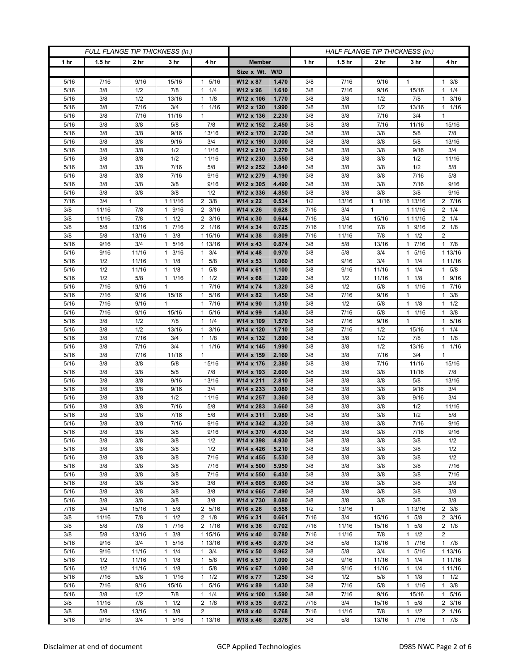| FULL FLANGE TIP THICKNESS (in.) |                   |                 |                                  |                           | HALF FLANGE TIP THICKNESS (in.) |                |             |                   |                      |                                             |                            |
|---------------------------------|-------------------|-----------------|----------------------------------|---------------------------|---------------------------------|----------------|-------------|-------------------|----------------------|---------------------------------------------|----------------------------|
| 1 hr                            | 1.5 <sub>hr</sub> | 2 <sub>hr</sub> | 3 <sub>hr</sub>                  | 4 hr                      | <b>Member</b>                   |                | 1 hr        | 1.5 <sub>hr</sub> | 2 <sub>hr</sub>      | 3 hr                                        | 4 hr                       |
|                                 |                   |                 |                                  |                           | Size x Wt. W/D                  |                |             |                   |                      |                                             |                            |
| 5/16                            | 7/16              | 9/16            | 15/16                            | 5/16<br>1                 | W12 x 87                        | 1.470          | 3/8         | 7/16              | 9/16                 | 1                                           | $1 \t3/8$                  |
| 5/16                            | 3/8               | 1/2             | 7/8                              | 1/4<br>$\mathbf{1}$       | W12 x 96                        | 1.610          | 3/8         | 7/16              | 9/16                 | 15/16                                       | $1 \t1/4$                  |
| 5/16                            | 3/8               | 1/2             | 13/16                            | 1/8<br>$\mathbf{1}$       | W12 x 106                       | 1.770          | 3/8         | 3/8               | 1/2                  | 7/8                                         | $1 \t3/16$                 |
| 5/16                            | 3/8               | 7/16            | 3/4                              | 1/16<br>$\mathbf{1}$      | W12 x 120                       | 1.990          | 3/8         | 3/8               | 1/2                  | 13/16                                       | $1 \t1/16$                 |
| 5/16                            | 3/8               | 7/16            | 11/16                            | $\mathbf{1}$              | W12 x 136                       | 2.230          | 3/8         | 3/8               | 7/16                 | 3/4                                         | $\mathbf{1}$               |
| 5/16                            | 3/8<br>3/8        | 3/8<br>3/8      | 5/8<br>9/16                      | 7/8<br>13/16              | W12 x 152                       | 2.450<br>2.720 | 3/8<br>3/8  | 3/8<br>3/8        | 7/16<br>3/8          | 11/16<br>5/8                                | 15/16<br>7/8               |
| 5/16<br>5/16                    | 3/8               | 3/8             | 9/16                             | 3/4                       | W12 x 170<br>W12 x 190          | 3.000          | 3/8         | 3/8               | 3/8                  | 5/8                                         | 13/16                      |
| 5/16                            | 3/8               | 3/8             | 1/2                              | 11/16                     | W12 x 210                       | 3.270          | 3/8         | 3/8               | 3/8                  | 9/16                                        | 3/4                        |
| 5/16                            | 3/8               | 3/8             | 1/2                              | 11/16                     | W12 x 230                       | 3.550          | 3/8         | 3/8               | 3/8                  | 1/2                                         | 11/16                      |
| 5/16                            | 3/8               | 3/8             | 7/16                             | 5/8                       | W12 x 252                       | 3.840          | 3/8         | 3/8               | 3/8                  | 1/2                                         | 5/8                        |
| 5/16                            | 3/8               | 3/8             | 7/16                             | 9/16                      | W12 x 279                       | 4.190          | 3/8         | 3/8               | 3/8                  | 7/16                                        | $5/8$                      |
| 5/16                            | 3/8               | 3/8             | 3/8                              | 9/16                      | W12 x 305                       | 4.490          | 3/8         | 3/8               | 3/8                  | 7/16                                        | 9/16                       |
| 5/16                            | 3/8               | 3/8             | 3/8                              | 1/2                       | W12 x 336                       | 4.850          | 3/8         | 3/8               | 3/8                  | 3/8                                         | 9/16                       |
| 7/16                            | 3/4               | 1               | 1 11/16                          | 2<br>3/8                  | W14 x 22                        | 0.534          | 1/2         | 13/16             | 1/16<br>$\mathbf{1}$ | 1 13/16                                     | 2 7/16                     |
| 3/8                             | 11/16             | 7/8             | 9/16<br>$\mathbf{1}$             | $2 \frac{3}{16}$          | W14 x 26                        | 0.628          | 7/16        | 3/4               | $\mathbf{1}$         | 1 1 1 / 16                                  | $2 \t1/4$                  |
| 3/8                             | 11/16             | 7/8             | 1/2<br>$\mathbf{1}$              | 3/16<br>2                 | W14 x 30                        | 0.644          | 7/16        | 3/4               | 15/16                | 1 1 1 / 16                                  | $2 \t1/4$                  |
| 3/8                             | 5/8               | 13/16           | 17/16                            | 2 1/16                    | W14 x 34                        | 0.725          | 7/16        | 11/16             | 7/8                  | 1 9/16                                      | $2 \t1/8$                  |
| 3/8<br>5/16                     | 5/8<br>9/16       | 13/16<br>3/4    | 3/8<br>$\mathbf{1}$<br>5/16<br>1 | 1 15/16<br>1 13/16        | W14 x 38<br>W14 x 43            | 0.809<br>0.874 | 7/16<br>3/8 | 11/16<br>5/8      | 7/8<br>13/16         | $1 \t1/2$<br>7/16<br>1                      | 2<br>17/8                  |
| 5/16                            | 9/16              | 11/16           | $1 \t3/16$                       | 3/4<br>$\mathbf{1}$       | W14 x 48                        | 0.970          | 3/8         | 5/8               | 3/4                  | 5/16<br>1                                   | 1 13/16                    |
| 5/16                            | 1/2               | 11/16           | $1 \t1/8$                        | 5/8<br>1                  | W14 x 53                        | 1.060          | 3/8         | 9/16              | 3/4                  | $1 \t1/4$                                   | 1 11/16                    |
| 5/16                            | 1/2               | 11/16           | 1/8<br>1                         | 5/8<br>$\mathbf{1}$       | W14 x 61                        | 1.100          | 3/8         | 9/16              | 11/16                | 1/4                                         | $1 \t5/8$                  |
| 5/16                            | 1/2               | $5/8$           | 1 1/16                           | 1/2<br>$\mathbf{1}$       | $W14 \times 68$                 | 1.220          | 3/8         | 1/2               | 11/16                | 1/8<br>1                                    | 1 9/16                     |
| 5/16                            | 7/16              | 9/16            | 1                                | 7/16<br>1                 | W14 x 74                        | 1.320          | 3/8         | 1/2               | 5/8                  | 1 1/16                                      | 17/16                      |
| 5/16                            | 7/16              | 9/16            | 15/16                            | 5/16<br>$\mathbf{1}$      | W14 x 82                        | 1.450          | 3/8         | 7/16              | 9/16                 | 1                                           | $1 \t3/8$                  |
| 5/16                            | 7/16              | 9/16            | $\mathbf{1}$                     | 7/16<br>$\mathbf{1}$      | W14 x 90                        | 1.310          | 3/8         | 1/2               | 5/8                  | 1/8<br>$\mathbf{1}$                         | $1 \t1/2$                  |
| 5/16                            | 7/16              | 9/16            | 15/16                            | 5/16<br>$\mathbf{1}$      | W14 x 99                        | 1.430          | 3/8         | 7/16              | 5/8                  | 1 1/16                                      | $1 \t3/8$                  |
| 5/16                            | 3/8               | 1/2             | 7/8                              | 1/4<br>$\mathbf{1}$       | W14 x 109                       | 1.570          | 3/8         | 7/16              | 9/16                 | 1                                           | 5/16<br>$\mathbf{1}$       |
| 5/16                            | 3/8               | 1/2             | 13/16                            | 3/16<br>$\mathbf{1}$      | W14 x 120                       | 1.710          | 3/8         | 7/16              | 1/2                  | 15/16                                       | $1 \t1/4$                  |
| 5/16                            | 3/8               | 7/16            | 3/4                              | 1/8<br>$\mathbf{1}$       | W14 x 132                       | 1.890          | 3/8         | 3/8               | 1/2                  | 7/8                                         | $1 \t1/8$                  |
| 5/16<br>5/16                    | 3/8<br>3/8        | 7/16<br>7/16    | 3/4<br>11/16                     | 1/16<br>1<br>$\mathbf{1}$ | W14 x 145<br>W14 x 159          | 1.990<br>2.160 | 3/8<br>3/8  | 3/8<br>3/8        | 1/2<br>7/16          | 13/16<br>3/4                                | $1 \t1/16$<br>$\mathbf{1}$ |
| 5/16                            | 3/8               | 3/8             | 5/8                              | 15/16                     | W14 x 176                       | 2.380          | 3/8         | 3/8               | 7/16                 | 11/16                                       | 15/16                      |
| 5/16                            | 3/8               | 3/8             | 5/8                              | 7/8                       | W14 x 193                       | 2.600          | 3/8         | 3/8               | 3/8                  | 11/16                                       | 7/8                        |
| 5/16                            | 3/8               | 3/8             | 9/16                             | 13/16                     | W14 x 211                       | 2.810          | 3/8         | 3/8               | 3/8                  | 5/8                                         | 13/16                      |
| 5/16                            | 3/8               | 3/8             | 9/16                             | 3/4                       | W14 x 233                       | 3.080          | 3/8         | 3/8               | 3/8                  | 9/16                                        | 3/4                        |
| 5/16                            | 3/8               | 3/8             | 1/2                              | 11/16                     | W14 x 257                       | 3.360          | 3/8         | 3/8               | 3/8                  | 9/16                                        | 3/4                        |
| 5/16                            | 3/8               | 3/8             | 7/16                             | 5/8                       | W14 x 283                       | 3.660          | 3/8         | 3/8               | 3/8                  | 1/2                                         | 11/16                      |
| 5/16                            | 3/8               | 3/8             | 7/16                             | 5/8                       | W14 x 311                       | 3.980          | 3/8         | 3/8               | 3/8                  | 1/2                                         | 5/8                        |
| 5/16                            | 3/8               | 3/8             | 7/16                             | 9/16                      | W14 x 342                       | 4.320          | 3/8         | 3/8               | 3/8                  | 7/16                                        | 9/16                       |
| 5/16                            | 3/8               | 3/8             | 3/8                              | 9/16                      | W14 x 370                       | 4.630          | 3/8         | 3/8               | 3/8                  | 7/16                                        | 9/16                       |
| 5/16<br>5/16                    | 3/8<br>3/8        | 3/8<br>3/8      | 3/8<br>3/8                       | 1/2<br>1/2                | W14 x 398<br>W14 x 426          | 4.930<br>5.210 | 3/8<br>3/8  | 3/8<br>3/8        | 3/8<br>3/8           | 3/8<br>3/8                                  | 1/2<br>1/2                 |
| 5/16                            | 3/8               | 3/8             | 3/8                              | 7/16                      | W14 x 455                       | 5.530          | 3/8         | 3/8               | 3/8                  | 3/8                                         | 1/2                        |
| 5/16                            | 3/8               | 3/8             | 3/8                              | 7/16                      | W14 x 500                       | 5.950          | 3/8         | 3/8               | 3/8                  | 3/8                                         | 7/16                       |
| 5/16                            | 3/8               | 3/8             | 3/8                              | 7/16                      | W14 x 550                       | 6.430          | 3/8         | 3/8               | 3/8                  | 3/8                                         | 7/16                       |
| 5/16                            | 3/8               | 3/8             | 3/8                              | 3/8                       | W14 x 605                       | 6.960          | 3/8         | 3/8               | 3/8                  | 3/8                                         | 3/8                        |
| 5/16                            | 3/8               | 3/8             | 3/8                              | 3/8                       | W14 x 665                       | 7.490          | 3/8         | 3/8               | 3/8                  | 3/8                                         | 3/8                        |
| 5/16                            | 3/8               | 3/8             | 3/8                              | 3/8                       | W14 x 730                       | 8.080          | 3/8         | 3/8               | 3/8                  | 3/8                                         | 3/8                        |
| 7/16                            | 3/4               | 15/16           | 5/8<br>1                         | 2 5/16                    | W16 x 26                        | 0.558          | 1/2         | 13/16             | $\mathbf{1}$         | 1 13/16                                     | $2 \frac{3}{8}$            |
| 3/8                             | 11/16             | 7/8             | $1 \t1/2$                        | $2 \frac{1}{8}$           | W16 x 31                        | 0.661          | 7/16        | 3/4               | 15/16                | 5/8<br>$\mathbf{1}$                         | $2 \frac{3}{16}$           |
| 3/8                             | 5/8               | 7/8             | 17/16                            | 2 1/16                    | W16 x 36                        | 0.702          | 7/16        | 11/16             | 15/16                | $1 \t5/8$                                   | $2 \t1/8$                  |
| 3/8<br>5/16                     | 5/8<br>9/16       | 13/16<br>3/4    | 3/8<br>1<br>5/16<br>1            | 1 15/16<br>1 13/16        | W16 x 40<br>W16 x 45            | 0.780<br>0.870 | 7/16<br>3/8 | 11/16             | 7/8                  | 1/2<br>$\mathbf{1}$<br>7/16<br>$\mathbf{1}$ | $\overline{2}$<br>17/8     |
| 5/16                            | 9/16              | 11/16           | $1 \t1/4$                        | 3/4<br>$\mathbf{1}$       | W16 x 50                        | 0.962          | 3/8         | 5/8<br>5/8        | 13/16<br>3/4         | 5/16<br>1                                   | 1 13/16                    |
| 5/16                            | 1/2               | 11/16           | $1 \t1/8$                        | 5/8<br>$\mathbf{1}$       | W16 x 57                        | 1.090          | 3/8         | 9/16              | 11/16                | $1 \t1/4$                                   | 1 11/16                    |
| 5/16                            | 1/2               | 11/16           | $1 \t1/8$                        | 5/8<br>1                  | W16 x 67                        | 1.090          | 3/8         | 9/16              | 11/16                | 1/4<br>$\mathbf{1}$                         | 1 11/16                    |
| 5/16                            | 7/16              | 5/8             | 1 1/16                           | 1/2<br>$\mathbf{1}$       | W16 x 77                        | 1.250          | 3/8         | 1/2               | 5/8                  | $1 \t1/8$                                   | $1 \t1/2$                  |
| 5/16                            | 7/16              | 9/16            | 15/16                            | 5/16<br>$\mathbf{1}$      | W16 x 89                        | 1.430          | 3/8         | 7/16              | 5/8                  | 11/16                                       | $1 \t3/8$                  |
| 5/16                            | 3/8               | 1/2             | 7/8                              | 1/4<br>$\mathbf{1}$       | W16 x 100                       | 1.590          | 3/8         | 7/16              | 9/16                 | 15/16                                       | 1 5/16                     |
| 3/8                             | 11/16             | 7/8             | 1/2<br>1                         | $2 \t1/8$                 | W18 x 35                        | 0.672          | 7/16        | 3/4               | 15/16                | 5/8<br>1                                    | $2 \frac{3}{16}$           |
| 3/8                             | 5/8               | 13/16           | 3/8<br>1                         | $\overline{2}$            | W18 x 40                        | 0.768          | 7/16        | 11/16             | 7/8                  | 1/2<br>1                                    | 2 1/16                     |
| 5/16                            | 9/16              | 3/4             | $\mathbf{1}$<br>5/16             | 1 13/16                   | W18 x 46                        | 0.876          | 3/8         | 5/8               | 13/16                | $\mathbf{1}$<br>7/16                        | 17/8                       |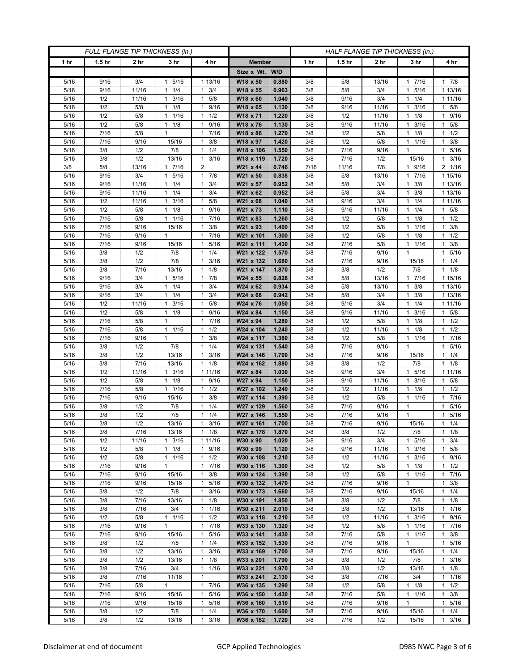| FULL FLANGE TIP THICKNESS (in.) |                   |             |                       | HALF FLANGE TIP THICKNESS (in.)              |                        |                |            |                   |              |                        |                      |
|---------------------------------|-------------------|-------------|-----------------------|----------------------------------------------|------------------------|----------------|------------|-------------------|--------------|------------------------|----------------------|
| 1 <sub>hr</sub>                 | 1.5 <sub>hr</sub> | 2 hr        | 3 hr                  | 4 hr                                         | <b>Member</b>          |                | 1 hr       | 1.5 <sub>hr</sub> | 2 hr         | 3 hr                   | 4 hr                 |
|                                 |                   |             |                       |                                              | Size x Wt. W/D         |                |            |                   |              |                        |                      |
| 5/16                            | 9/16              | 3/4         | 5/16<br>$\mathbf{1}$  | 1 13/16                                      | W18 x 50               | 0.880          | 3/8        | 5/8               | 13/16        | 7/16<br>$\mathbf{1}$   | 17/8                 |
| 5/16                            | 9/16              | 11/16       | 1/4<br>1              | 3/4<br>1                                     | W18 x 55               | 0.963          | 3/8        | 5/8               | 3/4          | 5/16<br>1              | 1 13/16              |
| 5/16                            | 1/2               | 11/16       | 3/16<br>$\mathbf{1}$  | 5/8<br>$\mathbf{1}$                          | W18 x 60               | 1.040          | 3/8        | 9/16              | 3/4          | 1/4                    | 1 11/16              |
| 5/16                            | 1/2               | 5/8         | 1/8<br>$\mathbf{1}$   | 9/16<br>$\mathbf{1}$                         | W18 x 65               | 1.130          | 3/8        | 9/16              | 11/16        | 3/16<br>1              | $1 \t5/8$            |
| 5/16                            | 1/2               | 5/8         | 1/16<br>1             | 1/2<br>$\mathbf{1}$                          | W18 x 71               | 1.220          | 3/8        | 1/2               | 11/16        | 1/8<br>1               | 1 9/16               |
| 5/16                            | 1/2               | 5/8         | 1/8<br>$\mathbf{1}$   | $\mathbf{1}$<br>9/16                         | W18 x 76               | 1.130          | 3/8        | 9/16              | 11/16        | 3/16                   | 5/8<br>$\mathbf{1}$  |
| 5/16                            | 7/16              | 5/8         | 1                     | 7/16<br>1                                    | W18 x 86               | 1.270          | 3/8        | 1/2               | 5/8          | 1/8<br>1               | 1/2<br>$\mathbf{1}$  |
| 5/16                            | 7/16              | 9/16        | 15/16                 | 3/8<br>1                                     | W18 x 97               | 1.420          | 3/8        | 1/2               | 5/8          | 1 1/16                 | $1 \t3/8$            |
| 5/16                            | 3/8               | 1/2         | 7/8                   | 1/4<br>$\mathbf{1}$                          | W18 x 106              | 1.550          | 3/8        | 7/16              | 9/16         | 1                      | 5/16<br>$\mathbf{1}$ |
| 5/16                            | 3/8               | 1/2         | 13/16                 | 3/16<br>$\mathbf{1}$                         | W18 x 119              | 1.720          | 3/8        | 7/16              | 1/2          | 15/16                  | 3/16<br>$\mathbf{1}$ |
| 3/8                             | 5/8               | 13/16       | 7/16<br>$\mathbf{1}$  | $\overline{2}$                               | W21 x 44               | 0.746          | 7/16       | 11/16             | 7/8          | 9/16<br>$\mathbf{1}$   | 2 1/16               |
| 5/16                            | 9/16              | 3/4         | 5/16<br>1             | $\mathbf{1}$<br>7/8                          | W21 x 50               | 0.838          | 3/8        | 5/8               | 13/16        | 7/16<br>1              | 1 15/16              |
| 5/16                            | 9/16              | 11/16       | 1/4<br>$\mathbf{1}$   | 3/4<br>1                                     | W21 x 57               | 0.952          | 3/8        | 5/8               | 3/4          | 3/8<br>1               | 1 13/16              |
| 5/16                            | 9/16              | 11/16       | 1/4<br>$\mathbf{1}$   | 3/4<br>$\mathbf{1}$                          | W21 x 62               | 0.952          | 3/8        | 5/8               | 3/4          | 3/8<br>1               | 1 13/16              |
| 5/16                            | 1/2               | 11/16       | $1 \t3/16$            | 5/8<br>$\mathbf{1}$                          | W21 x 68               | 1.040          | 3/8        | 9/16              | 3/4          | 1/4<br>$\mathbf{1}$    | 1 11/16              |
| 5/16                            | 1/2               | 5/8         | $1 \t1/8$             | 9/16<br>1                                    | W21 x 73               | 1.110          | 3/8        | 9/16              | 11/16        | 1/4<br>1.              | $1 \t5/8$            |
| 5/16                            | 7/16              | 5/8         | 1/16<br>1             | 7/16<br>$\mathbf{1}$                         | W21 x 83               | 1.260          | 3/8        | 1/2               | 5/8          | 1/8<br>1               | $1 \t1/2$            |
| 5/16                            | 7/16              | 9/16        | 15/16                 | 3/8<br>$\mathbf{1}$                          | W21 x 93               | 1.400          | 3/8        | 1/2               | 5/8          | 1/16<br>1              | $1 \t3/8$            |
| 5/16                            | 7/16              | 9/16        | 1                     | 7/16<br>1                                    | W21 x 101              | 1.300          | 3/8        | 1/2               | 5/8          | $1 \t1/8$              | $1 \t1/2$            |
| 5/16                            | 7/16              | 9/16        | 15/16                 | 5/16<br>$\mathbf{1}$                         | W21 x 111              | 1.430          | 3/8        | 7/16              | 5/8          | 1/16<br>1              | 3/8<br>1             |
| 5/16                            | 3/8               | 1/2         | 7/8                   | 1/4<br>$\mathbf{1}$                          | W21 x 122              | 1.570          | 3/8        | 7/16              | 9/16         | 1                      | 5/16<br>$\mathbf{1}$ |
| 5/16                            | 3/8               | 1/2         | 7/8                   | 3/16<br>$\mathbf{1}$                         | W21 x 132              | 1.680          | 3/8        | 7/16              | 9/16         | 15/16                  | $1 \t1/4$            |
| 5/16                            | 3/8               | 7/16        | 13/16                 | 1/8<br>$\mathbf{1}$                          | W21 x 147              | 1.870          | 3/8        | 3/8               | 1/2          | 7/8<br>17/16           | $1 \t1/8$            |
| 5/16                            | 9/16              | 3/4         | 5/16<br>$\mathbf{1}$  | 7/8<br>$\mathbf{1}$<br>3/4                   | W24 x 55               | 0.828          | 3/8        | 5/8               | 13/16        |                        | 1 15/16<br>1 13/16   |
| 5/16<br>5/16                    | 9/16<br>9/16      | 3/4<br>3/4  | $1 \t1/4$<br>1/4<br>1 | $\mathbf{1}$<br>3/4<br>1                     | W24 x 62               | 0.934<br>0.942 | 3/8<br>3/8 | 5/8<br>5/8        | 13/16<br>3/4 | 3/8<br>1.<br>3/8<br>1  |                      |
| 5/16                            | 1/2               | 11/16       | 3/16<br>1             | 5/8<br>$\mathbf{1}$                          | W24 x 68<br>W24 x 76   | 1.050          | 3/8        | 9/16              | 3/4          | 1/4<br>1               | 1 13/16<br>1 11/16   |
| 5/16                            | 1/2               | 5/8         | $1 \t1/8$             | 9/16<br>$\mathbf{1}$                         | W24 x 84               | 1.150          | 3/8        | 9/16              | 11/16        | 3/16                   | 1 5/8                |
| 5/16                            | $7/16$            | 5/8         | $\mathbf{1}$          | 7/16<br>$\mathbf{1}$                         | W24 x 94               | 1.280          | 3/8        | 1/2               | 5/8          | 1/8<br>1               | $1 \t1/2$            |
| 5/16                            | 7/16              | 5/8         | $1 \t1/16$            | 1/2<br>$\mathbf{1}$                          | W24 x 104              | 1.240          | 3/8        | 1/2               | 11/16        | 1/8<br>$\mathbf{1}$    | $1 \t1/2$            |
| 5/16                            | 7/16              | 9/16        | $\mathbf{1}$          | 3/8<br>1                                     | W24 x 117              | 1.380          | 3/8        | 1/2               | 5/8          | 1/16<br>1              | 17/16                |
| 5/16                            | 3/8               | 1/2         | $7/8$                 | 1/4<br>$\mathbf{1}$                          | W24 x 131              | 1.540          | 3/8        | 7/16              | 9/16         | 1                      | 1 5/16               |
| 5/16                            | 3/8               | 1/2         | 13/16                 | 3/16<br>1                                    | W24 x 146              | 1.700          | 3/8        | 7/16              | 9/16         | 15/16                  | $1 \t1/4$            |
| 5/16                            | 3/8               | 7/16        | 13/16                 | 1/8<br>1                                     | W24 x 162              | 1.880          | 3/8        | 3/8               | 1/2          | 7/8                    | $1 \t1/8$            |
| 5/16                            | 1/2               | 11/16       | 3/16<br>$\mathbf{1}$  | 1 11/16                                      | W27 x 84               | 1.030          | 3/8        | 9/16              | 3/4          | 5/16<br>1              | 1 1 1 / 16           |
| 5/16                            | 1/2               | 5/8         | 1/8<br>$\mathbf{1}$   | 9/16<br>1                                    | W27 x 94               | 1.150          | 3/8        | 9/16              | 11/16        | 3/16<br>1              | 1 5/8                |
| 5/16                            | 7/16              | 5/8         | 1 1/16                | 1/2<br>$\mathbf{1}$                          | W27 x 102              | 1.240          | 3/8        | 1/2               | 11/16        | 1/8<br>1               | $1 \t1/2$            |
| 5/16                            | 7/16              | 9/16        | 15/16                 | 3/8<br>1                                     | W27 x 114              | 1.390          | 3/8        | 1/2               | 5/8          | 1/16<br>1              | 17/16                |
| 5/16                            | 3/8               | 1/2         | 7/8                   | 1/4<br>$\mathbf{1}$                          | W27 x 129              | 1.560          | 3/8        | 7/16              | 9/16         | 1                      | 5/16<br>$\mathbf{1}$ |
| 5/16                            | 3/8               | 1/2         | 7/8                   | 1/4<br>$\mathbf{1}$                          | W27 x 146              | 1.550          | 3/8        | 7/16              | 9/16         | 1                      | 5/16<br>$\mathbf{1}$ |
| $5/16$                          | 3/8               | 1/2         | 13/16                 | 3/16<br>1                                    | W27 x 161              | 1.700          | 3/8        | 7/16              | 9/16         | 15/16                  | $1 \t1/4$            |
| 5/16                            | 3/8               | 7/16        | 13/16                 | $1 \t1/8$                                    | W27 x 178              | 1.870          | 3/8        | 3/8               | 1/2          | 7/8                    | $1 \t1/8$            |
| 5/16                            | 1/2               | 11/16       | $1 \t3/16$            | 1 11/16                                      | W30 x 90               | 1.020          | 3/8        | 9/16              | 3/4          | 5/16<br>$\mathbf{1}$   | $1 \t3/4$            |
| 5/16                            | 1/2               | 5/8         | $1 \t1/8$             | 1 9/16                                       | W30 x 99               | 1.120          | 3/8        | 9/16              | 11/16        | $1 \t3/16$             | $1 \t5/8$            |
| 5/16                            | 1/2               | 5/8         | 1/16<br>$\mathbf{1}$  | $\mathbf{1}$<br>1/2                          | W30 x 108              | 1.210          | 3/8        | 1/2               | 11/16        | 3/16<br>1              | 1 9/16               |
| 5/16                            | 7/16              | 9/16        | $\mathbf{1}$          | 7/16<br>$\mathbf{1}$                         | W30 x 116              | 1.300          | 3/8        | 1/2               | 5/8          | $1 \t1/8$              | $1 \t1/2$            |
| 5/16                            | 7/16              | 9/16        | 15/16                 | 3/8<br>$\mathbf{1}$                          | W30 x 124              | 1.390          | 3/8        | 1/2               | 5/8          | 1 1/16                 | 17/16                |
| 5/16                            | 7/16              | 9/16        | 15/16                 | 5/16<br>1                                    | W30 x 132              | 1.470          | 3/8        | 7/16              | 9/16         | 1                      | $1 \t3/8$            |
| 5/16                            | 3/8               | 1/2         | 7/8                   | 3/16<br>$\mathbf{1}$                         | W30 x 173              | 1.660          | 3/8        | 7/16              | 9/16         | 15/16                  | $1 \t1/4$            |
| 5/16                            | 3/8               | 7/16        | 13/16                 | 1/8<br>$\mathbf{1}$                          | W30 x 191              | 1.850          | 3/8        | 3/8               | 1/2          | 7/8                    | $1 \t1/8$            |
| 5/16                            | 3/8               | 7/16        | 3/4                   | $\mathbf{1}$<br>1/16                         | W30 x 211              | 2.010          | 3/8        | 3/8               | 1/2          | 13/16                  | $1 \t1/16$           |
| 5/16                            | 1/2               | 5/8         | 11/16<br>$\mathbf{1}$ | 1/2<br>$\mathbf{1}$                          | W33 x 118              | 1.210          | 3/8        | 1/2               | 11/16        | 3/16<br>$\mathbf{1}$   | 1 9/16               |
| 5/16                            | 7/16<br>7/16      | 9/16        |                       | 7/16<br>$\mathbf{1}$<br>5/16<br>$\mathbf{1}$ | W33 x 130              | 1.320          | 3/8        | 1/2               | 5/8          | 1 1/16                 | 17/16<br>$1 \t3/8$   |
| 5/16<br>5/16                    | 3/8               | 9/16<br>1/2 | 15/16<br>7/8          | 1/4<br>$\mathbf{1}$                          | W33 x 141<br>W33 x 152 | 1.430<br>1.530 | 3/8<br>3/8 | 7/16<br>7/16      | 5/8<br>9/16  | 1 1/16<br>$\mathbf{1}$ | 1 5/16               |
| 5/16                            | 3/8               | 1/2         | 13/16                 | $\mathbf{1}$<br>3/16                         | W33 x 169              | 1.700          | 3/8        | 7/16              | 9/16         | 15/16                  | $1 \t1/4$            |
| 5/16                            | 3/8               | 1/2         | 13/16                 | 1/8<br>1                                     | W33 x 201              | 1.790          | 3/8        | 3/8               | 1/2          | 7/8                    | $1 \t3/16$           |
| 5/16                            | 3/8               | 7/16        | 3/4                   | $\mathbf{1}$<br>1/16                         | W33 x 221              | 1.970          | 3/8        | 3/8               | 1/2          | 13/16                  | $1 \t1/8$            |
| 5/16                            | 3/8               | 7/16        | 11/16                 | $\mathbf{1}$                                 | W33 x 241              | 2.130          | 3/8        | 3/8               | 7/16         | 3/4                    | $1 \t1/16$           |
| 5/16                            | 7/16              | 5/8         | $\mathbf{1}$          | 17/16                                        | W36 x 135              | 1.290          | 3/8        | 1/2               | 5/8          | $1 \t1/8$              | $1 \t1/2$            |
| 5/16                            | 7/16              | 9/16        | 15/16                 | 5/16<br>$\mathbf{1}$                         | W36 x 150              | 1.430          | 3/8        | 7/16              | 5/8          | 1 1/16                 | $1 \t3/8$            |
| 5/16                            | 7/16              | 9/16        | 15/16                 | $\mathbf{1}$<br>5/16                         | W36 x 160              | 1.510          | 3/8        | 7/16              | 9/16         | $\mathbf{1}$           | 1 5/16               |
| 5/16                            | 3/8               | 1/2         | 7/8                   | 1/4<br>1                                     | W36 x 170              | 1.600          | 3/8        | 7/16              | 9/16         | 15/16                  | $1 \t1/4$            |
| 5/16                            | 3/8               | 1/2         | 13/16                 | 3/16<br>$\mathbf{1}$                         | W36 x 182              | 1.720          | 3/8        | 7/16              | 1/2          | 15/16                  | $1 \t3/16$           |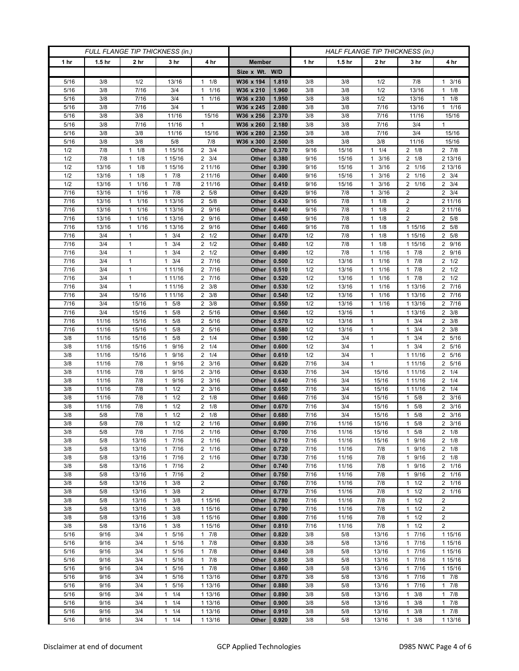| FULL FLANGE TIP THICKNESS (in.) |                   |                                 |                                             |                          | HALF FLANGE TIP THICKNESS (in.) |                |              |                   |                                              |                           |                                    |
|---------------------------------|-------------------|---------------------------------|---------------------------------------------|--------------------------|---------------------------------|----------------|--------------|-------------------|----------------------------------------------|---------------------------|------------------------------------|
| 1 hr                            | 1.5 <sub>hr</sub> | 2 <sub>hr</sub>                 | 3 <sub>hr</sub>                             | 4 hr                     | <b>Member</b>                   |                | 1 hr         | 1.5 <sub>hr</sub> | 2 <sub>hr</sub>                              | 3 hr                      | 4 hr                               |
|                                 |                   |                                 |                                             |                          | Size x Wt. W/D                  |                |              |                   |                                              |                           |                                    |
| 5/16                            | 3/8               | 1/2                             | 13/16                                       | 1/8<br>$\mathbf{1}$      | W36 x 194                       | 1.810          | 3/8          | 3/8               | 1/2                                          | 7/8                       | 3/16<br>$\mathbf{1}$               |
| 5/16                            | 3/8               | 7/16                            | 3/4                                         | 1/16<br>$\mathbf{1}$     | W36 x 210                       | 1.960          | 3/8          | 3/8               | 1/2                                          | 13/16                     | $1 \t1/8$                          |
| 5/16                            | 3/8               | 7/16                            | 3/4                                         | 1/16<br>$\mathbf{1}$     | W36 x 230                       | 1.950          | 3/8          | 3/8               | 1/2                                          | 13/16                     | $1 \t1/8$                          |
| 5/16                            | 3/8               | 7/16                            | 3/4                                         | 1                        | W36 x 245                       | 2.080          | 3/8          | 3/8               | 7/16                                         | 13/16                     | $1 \t1/16$                         |
| 5/16                            | 3/8               | 3/8                             | 11/16                                       | 15/16                    | W36 x 256                       | 2.370          | 3/8          | 3/8               | 7/16                                         | 11/16                     | 15/16                              |
| 5/16                            | 3/8               | 7/16                            | 11/16                                       | $\mathbf{1}$             | W36 x 260                       | 2.180          | 3/8          | 3/8               | 7/16                                         | 3/4                       | $\mathbf{1}$                       |
| 5/16                            | 3/8               | 3/8                             | 11/16                                       | 15/16                    | W36 x 280                       | 2.350          | 3/8          | 3/8               | 7/16                                         | 3/4                       | 15/16                              |
| 5/16                            | 3/8               | 3/8                             | 5/8                                         | 7/8                      | W36 x 300                       | 2.500          | 3/8          | 3/8               | 3/8                                          | 11/16                     | 15/16                              |
| 1/2                             | 7/8               | 1/8<br>1                        | 1 15/16                                     | $2 \frac{3}{4}$          | Other                           | 0.370          | 9/16         | 15/16             | 1/4<br>$\mathbf{1}$                          | $2 \t1/8$                 | $2 \t 7/8$                         |
| 1/2                             | 7/8               | 1/8<br>$\mathbf{1}$             | 1 15/16                                     | $2 \frac{3}{4}$          | Other                           | 0.380          | 9/16         | 15/16             | 3/16<br>$\mathbf{1}$                         | $2 \t1/8$                 | 2 13/16                            |
| 1/2<br>1/2                      | 13/16<br>13/16    | 1/8<br>$\mathbf{1}$<br>1<br>1/8 | 1 15/16<br>$1 \t7/8$                        | 2 11/16<br>2 11/16       | Other<br>Other                  | 0.390<br>0.400 | 9/16<br>9/16 | 15/16<br>15/16    | 3/16<br>$\mathbf{1}$<br>3/16<br>$\mathbf{1}$ | 2 1/16<br>2 1/16          | 2 13/16<br>$2 \frac{3}{4}$         |
| 1/2                             | 13/16             | 1/16<br>1                       | 7/8<br>1                                    | 2 11/16                  | Other                           | 0.410          | 9/16         | 15/16             | 3/16<br>-1                                   | 2 1/16                    | $2 \frac{3}{4}$                    |
| 7/16                            | 13/16             | 1/16<br>$\mathbf{1}$            | $1 \t7/8$                                   | 2 5/8                    | Other                           | 0.420          | 9/16         | 7/8               | 3/16<br>1                                    | 2                         | $2 \frac{3}{4}$                    |
| 7/16                            | 13/16             | 1/16<br>1                       | 1 13/16                                     | 5/8<br>2                 | Other                           | 0.430          | 9/16         | 7/8               | 1/8<br>$\mathbf{1}$                          | 2                         | 2 11/16                            |
| $\frac{1}{7}{16}$               | 13/16             | 1/16<br>1                       | 1 13/16                                     | $\overline{2}$<br>9/16   | Other                           | 0.440          | 9/16         | 7/8               | 1/8<br>$\mathbf{1}$                          | $\overline{2}$            | 2 11/16                            |
| 7/16                            | 13/16             | 1/16<br>$\mathbf{1}$            | 1 13/16                                     | 9/16<br>2                | Other                           | 0.450          | 9/16         | 7/8               | 1/8<br>$\mathbf{1}$                          | $\overline{2}$            | 2 5/8                              |
| 7/16                            | 13/16             | $1 \t1/16$                      | 1 13/16                                     | $2\overline{9/16}$       | Other                           | 0.460          | 9/16         | 7/8               | 1/8<br>$\mathbf{1}$                          | 1 15/16                   | 2 5/8                              |
| 7/16                            | 3/4               | 1                               | $1 \t3/4$                                   | $2 \frac{1}{2}$          | Other                           | 0.470          | 1/2          | 7/8               | 1/8<br>$\mathbf{1}$                          | 1 15/16                   | 2 5/8                              |
| 7/16                            | 3/4               | $\mathbf{1}$                    | 3/4<br>1                                    | $\overline{2}$<br>1/2    | Other                           | 0.480          | 1/2          | 7/8               | 1/8<br>$\mathbf{1}$                          | 1 15/16                   | 2 9/16                             |
| 7/16                            | 3/4               | $\mathbf{1}$                    | $1 \t3/4$                                   | $2 \frac{1}{2}$          | Other                           | 0.490          | 1/2          | 7/8               | 1/16<br>$\mathbf{1}$                         | $1 \overline{7/8}$        | 2 9/16                             |
| 7/16                            | 3/4               | $\mathbf{1}$                    | $1 \t3/4$                                   | 2 7/16                   | Other                           | 0.500          | 1/2          | 13/16             | 1/16<br>$\mathbf{1}$                         | $\overline{1}$ 7/8        | $2 \frac{1}{2}$                    |
| 7/16                            | 3/4               | $\mathbf{1}$                    | 1 11/16                                     | 7/16<br>2                | Other                           | 0.510          | 1/2          | 13/16             | 1/16<br>$\mathbf{1}$                         | 7/8<br>1                  | $2 \frac{1}{2}$                    |
| 7/16                            | 3/4               | $\mathbf{1}$                    | 1 11/16                                     | 7/16<br>$\overline{2}$   | <b>Other</b>                    | 0.520          | 1/2          | 13/16             | 1/16<br>$\mathbf{1}$                         | 7/8<br>$\mathbf{1}$       | $2 \frac{1}{2}$                    |
| 7/16                            | 3/4               | 1                               | 1 11/16                                     | 3/8<br>2                 | Other                           | 0.530          | 1/2          | 13/16             | 1/16<br>$\mathbf{1}$                         | 1 13/16                   | 2 7/16                             |
| 7/16                            | 3/4               | 15/16                           | 1 11/16                                     | 3/8<br>2                 | Other                           | 0.540          | 1/2          | 13/16             | 1/16<br>$\mathbf{1}$                         | 1 13/16                   | 2 7/16                             |
| 7/16                            | 3/4               | 15/16                           | $1 \t5/8$                                   | 3/8<br>$\overline{2}$    | <b>Other</b>                    | 0.550          | 1/2          | 13/16             | 1/16<br>$\mathbf{1}$                         | 1 13/16                   | $2 \t 7/16$                        |
| 7/16                            | 3/4               | 15/16                           | $1 \t5/8$                                   | $\overline{2}$<br>5/16   | Other                           | 0.560          | 1/2          | 13/16             | $\mathbf{1}$                                 | 1 13/16                   | $2 \frac{3}{8}$                    |
| 7/16<br>7/16                    | 11/16<br>11/16    | 15/16<br>15/16                  | 5/8<br>1<br>5/8<br>1                        | 5/16<br>2<br>5/16<br>2   | Other<br>Other                  | 0.570<br>0.580 | 1/2<br>1/2   | 13/16<br>13/16    | $\mathbf{1}$<br>$\mathbf{1}$                 | 3/4<br>1<br>3/4<br>1      | $2 \frac{3}{8}$<br>$2 \frac{3}{8}$ |
| 3/8                             | 11/16             | 15/16                           | 5/8<br>$\mathbf{1}$                         | 2<br>1/4                 | Other                           | 0.590          | 1/2          | 3/4               | $\mathbf{1}$                                 | 3/4<br>1                  | 2 5/16                             |
| 3/8                             | 11/16             | 15/16                           | 9/16<br>1                                   | 2<br>1/4                 | Other                           | 0.600          | 1/2          | 3/4               | $\mathbf{1}$                                 | 3/4<br>1                  | 2 5/16                             |
| 3/8                             | 11/16             | 15/16                           | 9/16<br>1                                   | 1/4<br>2                 | Other                           | 0.610          | 1/2          | 3/4               | $\mathbf{1}$                                 | 1 11/16                   | 2 5/16                             |
| 3/8                             | 11/16             | 7/8                             | 9/16<br>1                                   | $\overline{2}$<br>3/16   | Other                           | 0.620          | 7/16         | 3/4               | $\mathbf{1}$                                 | 1 11/16                   | 2 5/16                             |
| 3/8                             | 11/16             | 7/8                             | 9/16<br>1                                   | 3/16<br>$\overline{2}$   | Other                           | 0.630          | 7/16         | 3/4               | 15/16                                        | 1 1 1 / 16                | $2 \t1/4$                          |
| 3/8                             | 11/16             | 7/8                             | 9/16<br>1                                   | 3/16<br>2                | Other                           | 0.640          | 7/16         | 3/4               | 15/16                                        | 1 1 1 / 1 6               | $2 \t1/4$                          |
| 3/8                             | 11/16             | 7/8                             | 1/2<br>1                                    | $\overline{2}$<br>3/16   | Other                           | 0.650          | 7/16         | 3/4               | 15/16                                        | 1 11/16                   | $2 \t1/4$                          |
| 3/8                             | 11/16             | 7/8                             | 1/2<br>1                                    | $\overline{2}$<br>1/8    | Other                           | 0.660          | 7/16         | 3/4               | 15/16                                        | 5/8<br>1                  | $2 \frac{3}{16}$                   |
| 3/8                             | 11/16             | 7/8                             | 1/2<br>$\mathbf{1}$                         | $\overline{2}$<br>1/8    | Other                           | 0.670          | 7/16         | 3/4               | 15/16                                        | 5/8<br>1                  | $2 \frac{3}{16}$                   |
| 3/8                             | 5/8               | 7/8                             | 1/2<br>1                                    | $\overline{2}$<br>1/8    | Other                           | 0.680          | 7/16         | 3/4               | 15/16                                        | 5/8                       | $2 \frac{3}{16}$                   |
| 3/8                             | 5/8               | 7/8                             | 1/2<br>$\mathbf{1}$                         | 2 1/16                   | Other                           | 0.690          | 7/16         | 11/16             | 15/16                                        | 5/8<br>$\mathbf{1}$       | $2 \frac{3}{16}$                   |
| 3/8                             | 5/8               | $7/8$                           | 17/16                                       | 2 1/16                   | Other                           | 0.700          | 7/16         | 11/16             | 15/16                                        | 5/8<br>$\mathbf{1}$       | $2 \frac{1}{8}$                    |
| 3/8                             | 5/8               | 13/16                           | 17/16                                       | 2 1/16                   | Other                           | 0.710          | 7/16         | 11/16             | 15/16                                        | 9/16<br>$\mathbf{1}$      | $2 \t1/8$                          |
| 3/8                             | 5/8<br>5/8        | 13/16<br>13/16                  | 17/16<br>$\mathbf{1}$                       | 2 1/16<br>$\overline{2}$ | Other<br>Other                  | 0.720<br>0.730 | 7/16         | 11/16             | 7/8<br>7/8                                   | 9/16<br>$\mathbf{1}$<br>1 | $2 \t1/8$<br>$2 \t1/8$             |
| 3/8<br>3/8                      | 5/8               | 13/16                           | 7/16<br>17/16                               | 1/16<br>$\overline{2}$   | Other                           | 0.740          | 7/16<br>7/16 | 11/16<br>11/16    | 7/8                                          | 9/16<br>9/16<br>1         | 2 1/16                             |
| 3/8                             | 5/8               | 13/16                           | 17/16                                       | 2                        | Other                           | 0.750          | 7/16         | 11/16             | 7/8                                          | 1 9/16                    | 2 1/16                             |
| 3/8                             | 5/8               | 13/16                           | 3/8<br>1                                    | $\overline{2}$           | Other                           | 0.760          | 7/16         | 11/16             | 7/8                                          | 1/2<br>1                  | 2 1/16                             |
| 3/8                             | 5/8               | 13/16                           | $1 \t3/8$                                   | $\overline{2}$           | Other                           | 0.770          | 7/16         | 11/16             | 7/8                                          | 1/2<br>$\mathbf{1}$       | 2 1/16                             |
| 3/8                             | 5/8               | 13/16                           | $1 \t3/8$                                   | 1 15/16                  | Other                           | 0.780          | 7/16         | 11/16             | 7/8                                          | $1 \t1/2$                 | 2                                  |
| 3/8                             | 5/8               | 13/16                           | 3/8<br>1                                    | 1 15/16                  | Other                           | 0.790          | 7/16         | 11/16             | 7/8                                          | 1/2<br>1                  | $\overline{2}$                     |
| 3/8                             | 5/8               | 13/16                           | 3/8<br>$\mathbf{1}$                         | 1 15/16                  | Other                           | 0.800          | 7/16         | 11/16             | 7/8                                          | 1/2<br>$\mathbf{1}$       | $\overline{2}$                     |
| 3/8                             | 5/8               | 13/16                           | 3/8<br>$\mathbf{1}$                         | 1 15/16                  | Other                           | 0.810          | 7/16         | 11/16             | 7/8                                          | $1 \t1/2$                 | $\overline{2}$                     |
| 5/16                            | 9/16              | 3/4                             | 5/16<br>1                                   | 7/8<br>$\mathbf{1}$      | Other                           | 0.820          | 3/8          | 5/8               | 13/16                                        | 7/16<br>1                 | 1 15/16                            |
| 5/16                            | 9/16              | 3/4                             | 5/16<br>1                                   | 7/8<br>$\mathbf{1}$      | Other                           | 0.830          | 3/8          | 5/8               | 13/16                                        | 7/16<br>1                 | 1 15/16                            |
| 5/16                            | 9/16              | 3/4                             | $\mathbf{1}$<br>5/16                        | 7/8<br>$\mathbf{1}$      | <b>Other</b>                    | 0.840          | 3/8          | 5/8               | 13/16                                        | 17/16                     | 1 15/16                            |
| 5/16                            | 9/16              | 3/4                             | 5/16<br>1                                   | 7/8<br>$\mathbf{1}$      | Other                           | 0.850          | 3/8          | 5/8               | 13/16                                        | 17/16                     | 1 15/16                            |
| 5/16                            | 9/16              | 3/4                             | 5/16<br>1                                   | 7/8<br>1                 | Other                           | 0.860          | 3/8          | 5/8               | 13/16                                        | 7/16<br>$\mathbf{1}$      | 1 15/16                            |
| 5/16                            | 9/16              | 3/4                             | $\mathbf{1}$<br>5/16                        | 1 13/16                  | Other                           | 0.870          | 3/8          | 5/8               | 13/16                                        | 17/16                     | 17/8                               |
| 5/16<br>5/16                    | 9/16<br>9/16      | 3/4                             | 5/16<br>$\mathbf{1}$<br>1/4<br>$\mathbf{1}$ | 1 13/16                  | Other                           | 0.880          | 3/8          | 5/8               | 13/16                                        | 7/16<br>1<br>3/8<br>1     | $1 \t7/8$<br>17/8                  |
| 5/16                            | 9/16              | 3/4<br>3/4                      | 1<br>1/4                                    | 1 13/16<br>1 13/16       | Other<br>Other                  | 0.890<br>0.900 | 3/8<br>3/8   | 5/8<br>5/8        | 13/16<br>13/16                               | 3/8                       | $1 \t7/8$                          |
| 5/16                            | 9/16              | 3/4                             | 1/4<br>$\mathbf{1}$                         | 1 13/16                  | Other                           | 0.910          | 3/8          | 5/8               | 13/16                                        | 3/8<br>1                  | $1 \t7/8$                          |
| 5/16                            | 9/16              | 3/4                             | $\mathbf{1}$<br>1/4                         | 1 13/16                  | Other                           | 0.920          | 3/8          | 5/8               | 13/16                                        | 3/8<br>1                  | 1 13/16                            |
|                                 |                   |                                 |                                             |                          |                                 |                |              |                   |                                              |                           |                                    |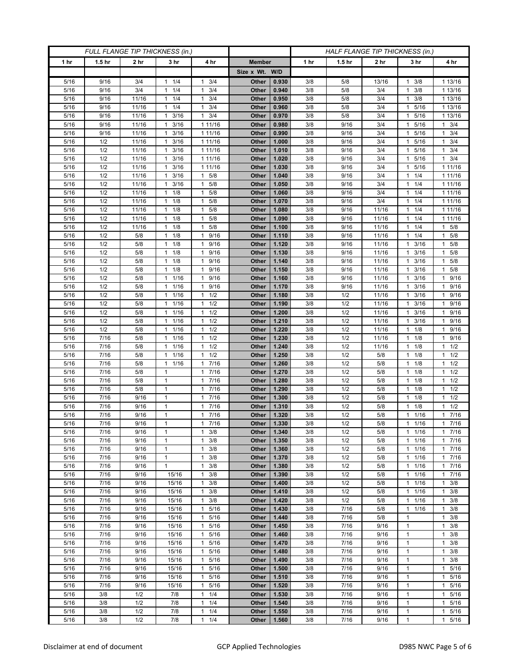| FULL FLANGE TIP THICKNESS (in.) |                   |                 |                           |                                            |                       |                | HALF FLANGE TIP THICKNESS (in.) |                   |                 |                              |                           |
|---------------------------------|-------------------|-----------------|---------------------------|--------------------------------------------|-----------------------|----------------|---------------------------------|-------------------|-----------------|------------------------------|---------------------------|
| 1 hr                            | 1.5 <sub>hr</sub> | 2 <sub>hr</sub> | 3 <sub>hr</sub>           | 4 hr                                       | <b>Member</b>         |                | 1 hr                            | 1.5 <sub>hr</sub> | 2 <sub>hr</sub> | 3 hr                         | 4 hr                      |
|                                 |                   |                 |                           |                                            | Size x Wt. W/D        |                |                                 |                   |                 |                              |                           |
| 5/16                            | 9/16              | 3/4             | 1/4<br>$\mathbf{1}$       | 3/4<br>$\mathbf{1}$                        | Other                 | 0.930          | 3/8                             | 5/8               | 13/16           | 3/8<br>1                     | 1 13/16                   |
| 5/16                            | 9/16              | 3/4             | 1/4<br>1                  | 3/4<br>$\mathbf{1}$                        | Other                 | 0.940          | 3/8                             | 5/8               | 3/4             | 3/8<br>1                     | 1 13/16                   |
| 5/16                            | 9/16              | 11/16           | $1 \t1/4$                 | 3/4<br>$\mathbf{1}$                        | Other                 | 0.950          | 3/8                             | 5/8               | 3/4             | 3/8<br>1                     | 1 13/16                   |
| 5/16                            | 9/16              | 11/16           | 1/4<br>1                  | 3/4<br>1                                   | Other                 | 0.960          | 3/8                             | 5/8               | 3/4             | 5/16                         | 1 13/16                   |
| 5/16                            | 9/16              | 11/16           | 3/16<br>1                 | 3/4<br>$\mathbf{1}$                        | Other                 | 0.970          | 3/8                             | 5/8               | 3/4             | 5/16<br>1                    | 1 13/16                   |
| 5/16                            | 9/16              | 11/16           | 3/16<br>$\mathbf{1}$      | 1 11/16                                    | Other                 | 0.980          | 3/8                             | 9/16              | 3/4             | 5/16<br>1                    | $1 \t3/4$                 |
| 5/16                            | 9/16              | 11/16           | 3/16<br>1                 | 1 11/16                                    | Other                 | 0.990          | 3/8                             | 9/16              | 3/4             | 5/16                         | 3/4<br>$\mathbf{1}$       |
| 5/16                            | 1/2               | 11/16           | 3/16<br>$\mathbf{1}$      | 111/16                                     | Other                 | 1.000          | 3/8                             | 9/16              | 3/4             | 5/16<br>1                    | $1 \t3/4$                 |
| 5/16                            | 1/2               | 11/16           | 3/16<br>$\mathbf{1}$      | 1 11/16                                    | Other                 | 1.010          | 3/8                             | 9/16              | 3/4             | 5/16<br>1.                   | $1 \t3/4$                 |
| 5/16<br>5/16                    | 1/2<br>1/2        | 11/16<br>11/16  | 3/16<br>1<br>3/16<br>1    | 1 11/16<br>1 11/16                         | Other<br>Other        | 1.020<br>1.030 | 3/8<br>3/8                      | 9/16<br>9/16      | 3/4<br>3/4      | 5/16<br>1<br>5/16<br>1       | $1 \t3/4$<br>1 1 1 / 16   |
| 5/16                            | 1/2               | 11/16           | 3/16<br>$\mathbf{1}$      | 5/8<br>$\mathbf{1}$                        | Other                 | 1.040          | 3/8                             | 9/16              | 3/4             | 1/4<br>1                     | 1 11/16                   |
| 5/16                            | 1/2               | 11/16           | 3/16<br>1                 | 5/8<br>$\mathbf{1}$                        | Other                 | 1.050          | 3/8                             | 9/16              | 3/4             | 1/4<br>1                     | 1 11/16                   |
| 5/16                            | 1/2               | 11/16           | 1/8<br>$\mathbf{1}$       | 5/8<br>$\mathbf{1}$                        | Other                 | 1.060          | 3/8                             | 9/16              | 3/4             | 1/4<br>1                     | 1 11/16                   |
| 5/16                            | 1/2               | 11/16           | 1/8<br>1                  | 1<br>5/8                                   | Other                 | 1.070          | 3/8                             | 9/16              | 3/4             | 1/4                          | 1 11/16                   |
| 5/16                            | 1/2               | 11/16           | 1/8<br>1                  | $\mathbf{1}$<br>5/8                        | Other                 | 1.080          | 3/8                             | 9/16              | 11/16           | 1/4<br>1                     | 1 11/16                   |
| 5/16                            | 1/2               | 11/16           | 1/8<br>$\mathbf{1}$       | $\mathbf{1}$<br>5/8                        | Other                 | 1.090          | 3/8                             | 9/16              | 11/16           | 1/4<br>1                     | 1 11/16                   |
| 5/16                            | 1/2               | 11/16           | 1/8<br>1                  | 5/8<br>1                                   | Other                 | 1.100          | 3/8                             | 9/16              | 11/16           | 1/4                          | 1 5/8                     |
| 5/16                            | 1/2               | 5/8             | 1/8<br>1                  | 9/16<br>$\mathbf{1}$                       | Other                 | 1.110          | 3/8                             | 9/16              | 11/16           | 1/4<br>1                     | 1 5/8                     |
| 5/16                            | 1/2               | 5/8             | 1/8<br>$\mathbf{1}$       | 9/16<br>$\mathbf{1}$                       | Other                 | 1.120          | 3/8                             | 9/16              | 11/16           | 3/16<br>1                    | 1 5/8                     |
| 5/16                            | 1/2               | 5/8             | 1/8<br>1                  | 9/16<br>1                                  | Other                 | 1.130          | 3/8                             | 9/16              | 11/16           | 3/16                         | 5/8<br>$\mathbf{1}$       |
| $5/16$                          | 1/2               | $5/8$           | 1/8<br>1                  | 9/16<br>$\mathbf{1}$                       | Other                 | 1.140          | 3/8                             | 9/16              | 11/16           | 3/16<br>1                    | 1 5/8                     |
| 5/16                            | 1/2               | 5/8             | 1/8<br>$\mathbf{1}$       | 9/16<br>$\mathbf{1}$                       | Other                 | 1.150          | 3/8                             | 9/16              | 11/16           | 3/16<br>1                    | $1 \t5/8$                 |
| 5/16                            | 1/2               | 5/8             | 1/16<br>$\mathbf{1}$      | 9/16<br>1                                  | Other                 | 1.160          | 3/8                             | 9/16              | 11/16           | 3/16<br>1                    | 1 9/16                    |
| 5/16                            | 1/2               | $5/8$           | 1/16<br>$\mathbf{1}$      | 9/16<br>1                                  | Other                 | 1.170          | 3/8                             | 9/16              | 11/16           | 3/16<br>1                    | 1 9/16                    |
| 5/16                            | 1/2<br>1/2        | 5/8             | 1/16<br>1<br>$\mathbf{1}$ | 1/2<br>1<br>$\mathbf{1}$                   | Other                 | 1.180          | 3/8                             | 1/2               | 11/16           | 3/16<br>1                    | 9/16<br>$\mathbf{1}$      |
| 5/16<br>$5/16$                  | 1/2               | 5/8<br>5/8      | 1/16<br>$1 \t1/16$        | 1/2<br>1/2<br>1                            | Other<br>Other        | 1.190<br>1.200 | 3/8<br>3/8                      | 1/2<br>1/2        | 11/16<br>11/16  | 3/16<br>3/16<br>$\mathbf{1}$ | 1 9/16<br>1 9/16          |
| 5/16                            | 1/2               | 5/8             | 1/16<br>1                 | 1/2<br>1                                   | Other                 | 1.210          | 3/8                             | 1/2               | 11/16           | 3/16                         | 9/16<br>$\mathbf{1}$      |
| 5/16                            | 1/2               | $5/8$           | 1/16<br>$\mathbf{1}$      | 1/2<br>$\mathbf{1}$                        | Other                 | 1.220          | 3/8                             | 1/2               | 11/16           | 1/8<br>1                     | 1 9/16                    |
| 5/16                            | 7/16              | 5/8             | 11/16                     | 1/2<br>$\mathbf{1}$                        | Other                 | 1.230          | 3/8                             | 1/2               | 11/16           | $1 \t1/8$                    | 1 9/16                    |
| 5/16                            | 7/16              | 5/8             | 1/16<br>1                 | 1/2<br>1                                   | Other                 | 1.240          | 3/8                             | 1/2               | 11/16           | 1/8                          | $1 \t1/2$                 |
| 5/16                            | 7/16              | 5/8             | 1/16<br>$\mathbf{1}$      | 1/2<br>$\mathbf{1}$                        | Other                 | 1.250          | 3/8                             | 1/2               | 5/8             | 1/8<br>1                     | $1 \t1/2$                 |
| 5/16                            | 7/16              | 5/8             | 11/16                     | 7/16<br>$\mathbf{1}$                       | Other                 | 1.260          | 3/8                             | 1/2               | 5/8             | $1 \t1/8$                    | $1 \t1/2$                 |
| 5/16                            | 7/16              | 5/8             | 1                         | 7/16<br>$\mathbf{1}$                       | Other                 | 1.270          | 3/8                             | 1/2               | 5/8             | 1/8<br>1                     | $1 \t1/2$                 |
| 5/16                            | 7/16              | 5/8             | $\mathbf{1}$              | 7/16<br>$\mathbf{1}$                       | Other                 | 1.280          | 3/8                             | 1/2               | 5/8             | 1/8<br>1                     | $1 \t1/2$                 |
| 5/16                            | 7/16              | 5/8             | $\mathbf{1}$              | $7/16$<br>$\mathbf{1}$                     | Other                 | 1.290          | 3/8                             | 1/2               | 5/8             | 1/8<br>1.                    | $1 \t1/2$                 |
| 5/16                            | 7/16              | 9/16            | 1                         | 7/16<br>$\mathbf{1}$                       | Other                 | 1.300          | 3/8                             | 1/2               | 5/8             | 1/8<br>1                     | $1 \t1/2$                 |
| 5/16                            | 7/16              | 9/16            | $\mathbf{1}$              | 7/16<br>$\mathbf{1}$                       | Other                 | 1.310          | 3/8                             | 1/2               | 5/8             | 1/8<br>1                     | $1 \t1/2$                 |
| 5/16                            | 7/16              | 9/16            | $\mathbf{1}$              | 7/16<br>$\mathbf{1}$                       | Other                 | 1.320          | 3/8                             | 1/2               | 5/8             | 1/16                         | 17/16                     |
| 5/16                            | $\frac{7}{16}$    | 9/16            | $\mathbf{1}$              | 7/16<br>$\mathbf{1}$                       | Other                 | 1.330          | 3/8                             | 1/2               | 5/8<br>5/8      | 1/16<br>$\mathbf{1}$         | 17/16                     |
| 5/16<br>5/16                    | 7/16<br>7/16      | 9/16<br>9/16    | 1<br>1                    | 3/8<br>$\mathbf{1}$<br>$\mathbf{1}$<br>3/8 | Other<br>Other        | 1.340<br>1.350 | 3/8<br>3/8                      | 1/2<br>1/2        | 5/8             | $1 \t1/16$<br>1/16<br>1.     | 17/16<br>17/16            |
| 5/16                            | 7/16              | 9/16            | $\mathbf{1}$              | 3/8<br>$\mathbf{1}$                        | Other                 | 1.360          | 3/8                             | 1/2               | 5/8             | 1/16<br>1                    | 17/16                     |
| 5/16                            | 7/16              | 9/16            | $\mathbf{1}$              | 3/8<br>$\mathbf{1}$                        | Other                 | 1.370          | 3/8                             | 1/2               | 5/8             | $\mathbf{1}$<br>1/16         | 17/16                     |
| 5/16                            | 7/16              | 9/16            | $\mathbf{1}$              | 1<br>3/8                                   | Other                 | 1.380          | 3/8                             | 1/2               | 5/8             | 1/16<br>1                    | 17/16                     |
| 5/16                            | 7/16              | 9/16            | 15/16                     | 3/8<br>$\mathbf{1}$                        | Other                 | 1.390          | 3/8                             | 1/2               | 5/8             | 1/16<br>1                    | 17/16                     |
| 5/16                            | 7/16              | 9/16            | 15/16                     | 3/8<br>$\mathbf{1}$                        | Other                 | 1.400          | 3/8                             | 1/2               | 5/8             | 1/16<br>1                    | $1 \t3/8$                 |
| 5/16                            | 7/16              | 9/16            | 15/16                     | 3/8<br>$\mathbf{1}$                        | Other                 | 1.410          | 3/8                             | 1/2               | 5/8             | 1/16<br>$\mathbf{1}$         | $1 \t3/8$                 |
| 5/16                            | 7/16              | 9/16            | 15/16                     | 3/8<br>$\mathbf{1}$                        | Other                 | 1.420          | 3/8                             | 1/2               | 5/8             | 1/16<br>$\mathbf{1}$         | $1 \t3/8$                 |
| 5/16                            | 7/16              | 9/16            | 15/16                     | 5/16<br>$\mathbf{1}$                       | Other                 | 1.430          | 3/8                             | 7/16              | 5/8             | 1/16<br>1                    | 3/8<br>$\mathbf{1}$       |
| 5/16                            | 7/16              | 9/16            | 15/16                     | 5/16<br>$\mathbf{1}$                       | Other                 | 1.440          | 3/8                             | 7/16              | 5/8             | 1                            | $1 \t3/8$                 |
| 5/16                            | 7/16              | 9/16            | 15/16                     | 5/16<br>$\mathbf{1}$                       | Other                 | 1.450          | 3/8                             | 7/16              | 9/16            | 1                            | $1 \t3/8$                 |
| 5/16                            | 7/16              | 9/16            | 15/16                     | 5/16<br>$\mathbf{1}$                       | Other                 | 1.460          | 3/8                             | 7/16              | 9/16            | 1                            | $\mathbf{1}$<br>3/8       |
| 5/16                            | 7/16              | 9/16            | 15/16                     | 5/16<br>$\mathbf{1}$                       | Other                 | 1.470          | 3/8                             | 7/16              | 9/16            | $\mathbf{1}$                 | 3/8<br>$\mathbf{1}$       |
| 5/16                            | 7/16<br>7/16      | 9/16<br>9/16    | 15/16                     | 5/16<br>$\mathbf{1}$<br>$\mathbf{1}$       | Other                 | 1.480          | 3/8                             | 7/16              | 9/16            | 1<br>1                       | $1 \t3/8$<br>$\mathbf{1}$ |
| 5/16<br>5/16                    | 7/16              | 9/16            | 15/16<br>15/16            | 5/16<br>5/16<br>$\mathbf{1}$               | Other<br><b>Other</b> | 1.490<br>1.500 | 3/8<br>3/8                      | 7/16<br>7/16      | 9/16<br>9/16    | $\overline{1}$               | 3/8<br>1 5/16             |
| 5/16                            | 7/16              | 9/16            | 15/16                     | 5/16<br>$\mathbf{1}$                       | Other                 | 1.510          | 3/8                             | 7/16              | 9/16            | 1                            | 1 5/16                    |
| 5/16                            | 7/16              | 9/16            | 15/16                     | 5/16<br>$\mathbf{1}$                       | Other                 | 1.520          | 3/8                             | 7/16              | 9/16            | 1                            | 1 5/16                    |
| 5/16                            | 3/8               | 1/2             | 7/8                       | 1/4<br>$\mathbf{1}$                        | Other                 | 1.530          | 3/8                             | 7/16              | 9/16            | $\mathbf{1}$                 | 1 5/16                    |
| 5/16                            | 3/8               | 1/2             | 7/8                       | $\mathbf{1}$<br>1/4                        | Other                 | 1.540          | 3/8                             | 7/16              | 9/16            | 1                            | 1 5/16                    |
| 5/16                            | 3/8               | 1/2             | 7/8                       | $\mathbf{1}$<br>1/4                        | Other                 | 1.550          | 3/8                             | 7/16              | 9/16            | 1                            | 1 5/16                    |
| 5/16                            | 3/8               | 1/2             | 7/8                       | 1/4<br>$\mathbf{1}$                        | Other                 | 1.560          | 3/8                             | 7/16              | 9/16            | $\mathbf{1}$                 | 1 5/16                    |